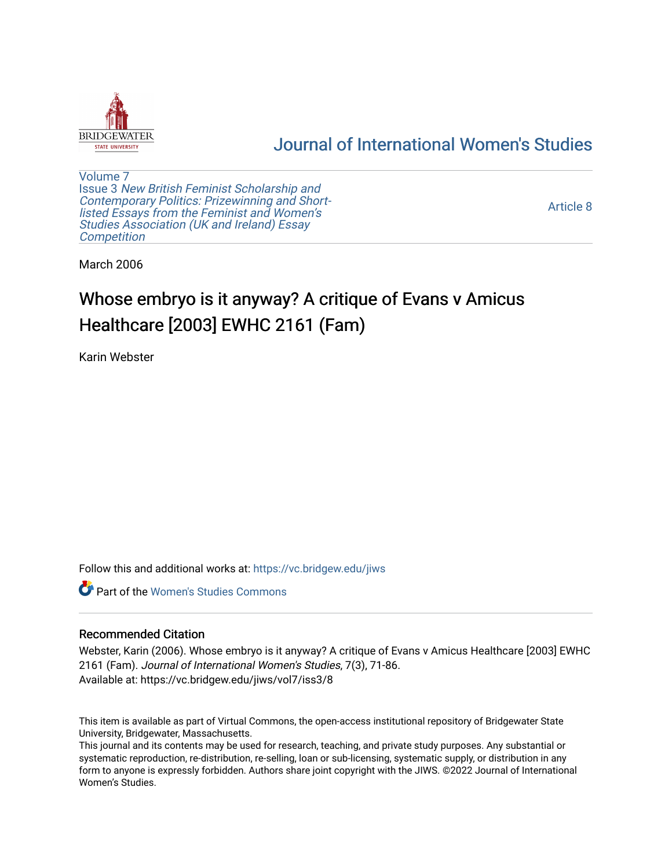

# [Journal of International Women's Studies](https://vc.bridgew.edu/jiws)

[Volume 7](https://vc.bridgew.edu/jiws/vol7) Issue 3 [New British Feminist Scholarship and](https://vc.bridgew.edu/jiws/vol7/iss3)  [Contemporary Politics: Prizewinning and Short](https://vc.bridgew.edu/jiws/vol7/iss3)listed Essays from the Feminist and Women's [Studies Association \(UK and Ireland\) Essay](https://vc.bridgew.edu/jiws/vol7/iss3)  **Competition** 

[Article 8](https://vc.bridgew.edu/jiws/vol7/iss3/8) 

March 2006

# Whose embryo is it anyway? A critique of Evans v Amicus Healthcare [2003] EWHC 2161 (Fam)

Karin Webster

Follow this and additional works at: [https://vc.bridgew.edu/jiws](https://vc.bridgew.edu/jiws?utm_source=vc.bridgew.edu%2Fjiws%2Fvol7%2Fiss3%2F8&utm_medium=PDF&utm_campaign=PDFCoverPages)

**C** Part of the Women's Studies Commons

#### Recommended Citation

Webster, Karin (2006). Whose embryo is it anyway? A critique of Evans v Amicus Healthcare [2003] EWHC 2161 (Fam). Journal of International Women's Studies, 7(3), 71-86. Available at: https://vc.bridgew.edu/jiws/vol7/iss3/8

This item is available as part of Virtual Commons, the open-access institutional repository of Bridgewater State University, Bridgewater, Massachusetts.

This journal and its contents may be used for research, teaching, and private study purposes. Any substantial or systematic reproduction, re-distribution, re-selling, loan or sub-licensing, systematic supply, or distribution in any form to anyone is expressly forbidden. Authors share joint copyright with the JIWS. ©2022 Journal of International Women's Studies.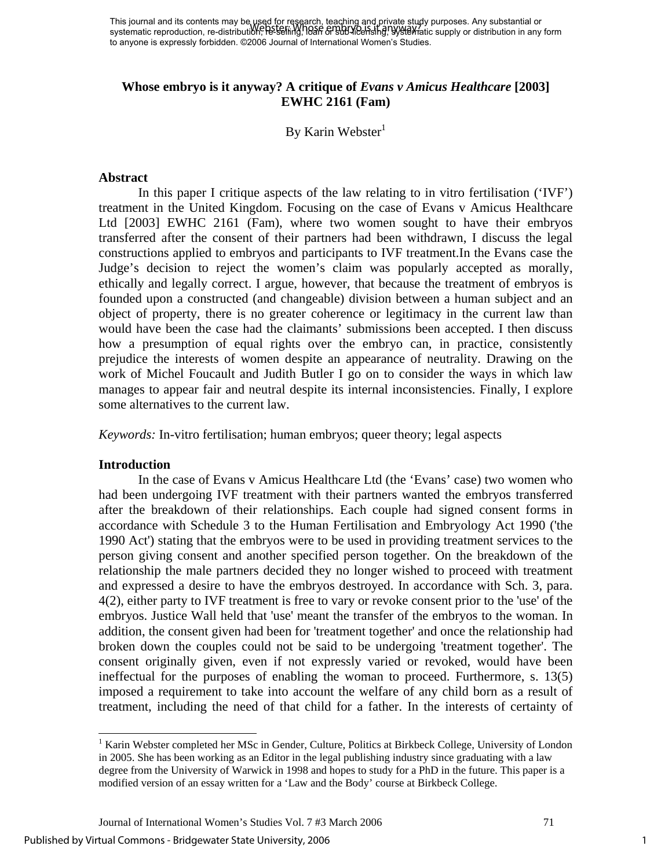This journal and its contents may be used for research, teaching and private study purposes. Any substantial or This journal and its contents may be host to respace, leading and private stagy parposes. Any substantial or<br>systematic reproduction, re-distribution, he selling, heart of sub-licensing, by stearatic supply or distribution to anyone is expressly forbidden. ©2006 Journal of International Women's Studies.

## **Whose embryo is it anyway? A critique of** *Evans v Amicus Healthcare* [2003] **EWHC 2161 (Fam)**

By Karin Webster<sup>1</sup>

#### **Abstract**

 In this paper I critique aspects of the law relating to in vitro fertilisation ('IVF') treatment in the United Kingdom. Focusing on the case of Evans v Amicus Healthcare Ltd [2003] EWHC 2161 (Fam), where two women sought to have their embryos transferred after the consent of their partners had been withdrawn, I discuss the legal constructions applied to embryos and participants to IVF treatment.In the Evans case the Judge's decision to reject the women's claim was popularly accepted as morally, ethically and legally correct. I argue, however, that because the treatment of embryos is founded upon a constructed (and changeable) division between a human subject and an object of property, there is no greater coherence or legitimacy in the current law than would have been the case had the claimants' submissions been accepted. I then discuss how a presumption of equal rights over the embryo can, in practice, consistently prejudice the interests of women despite an appearance of neutrality. Drawing on the work of Michel Foucault and Judith Butler I go on to consider the ways in which law manages to appear fair and neutral despite its internal inconsistencies. Finally, I explore some alternatives to the current law.

*Keywords:* In-vitro fertilisation; human embryos; queer theory; legal aspects

#### **Introduction**

 $\overline{\phantom{a}}$ 

In the case of Evans v Amicus Healthcare Ltd (the 'Evans' case) two women who had been undergoing IVF treatment with their partners wanted the embryos transferred after the breakdown of their relationships. Each couple had signed consent forms in accordance with Schedule 3 to the Human Fertilisation and Embryology Act 1990 ('the 1990 Act') stating that the embryos were to be used in providing treatment services to the person giving consent and another specified person together. On the breakdown of the relationship the male partners decided they no longer wished to proceed with treatment and expressed a desire to have the embryos destroyed. In accordance with Sch. 3, para. 4(2), either party to IVF treatment is free to vary or revoke consent prior to the 'use' of the embryos. Justice Wall held that 'use' meant the transfer of the embryos to the woman. In addition, the consent given had been for 'treatment together' and once the relationship had broken down the couples could not be said to be undergoing 'treatment together'. The consent originally given, even if not expressly varied or revoked, would have been ineffectual for the purposes of enabling the woman to proceed. Furthermore, s. 13(5) imposed a requirement to take into account the welfare of any child born as a result of treatment, including the need of that child for a father. In the interests of certainty of

<span id="page-1-0"></span><sup>&</sup>lt;sup>1</sup> Karin Webster completed her MSc in Gender, Culture, Politics at Birkbeck College, University of London in 2005. She has been working as an Editor in the legal publishing industry since graduating with a law degree from the University of Warwick in 1998 and hopes to study for a PhD in the future. This paper is a modified version of an essay written for a 'Law and the Body' course at Birkbeck College.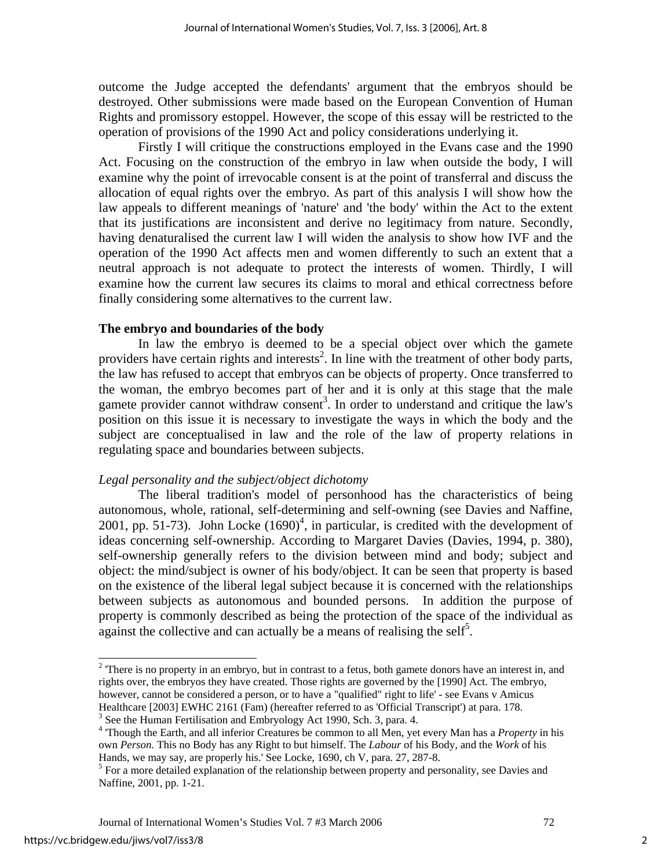outcome the Judge accepted the defendants' argument that the embryos should be destroyed. Other submissions were made based on the European Convention of Human Rights and promissory estoppel. However, the scope of this essay will be restricted to the operation of provisions of the 1990 Act and policy considerations underlying it.

Firstly I will critique the constructions employed in the Evans case and the 1990 Act. Focusing on the construction of the embryo in law when outside the body, I will examine why the point of irrevocable consent is at the point of transferral and discuss the allocation of equal rights over the embryo. As part of this analysis I will show how the law appeals to different meanings of 'nature' and 'the body' within the Act to the extent that its justifications are inconsistent and derive no legitimacy from nature. Secondly, having denaturalised the current law I will widen the analysis to show how IVF and the operation of the 1990 Act affects men and women differently to such an extent that a neutral approach is not adequate to protect the interests of women. Thirdly, I will examine how the current law secures its claims to moral and ethical correctness before finally considering some alternatives to the current law.

#### **The embryo and boundaries of the body**

In law the embryo is deemed to be a special object over which the gamete providers have certain rights and interests<sup>[2](#page-2-0)</sup>. In line with the treatment of other body parts, the law has refused to accept that embryos can be objects of property. Once transferred to the woman, the embryo becomes part of her and it is only at this stage that the male gamete provider cannot withdraw consent<sup>[3](#page-2-1)</sup>. In order to understand and critique the law's position on this issue it is necessary to investigate the ways in which the body and the subject are conceptualised in law and the role of the law of property relations in regulating space and boundaries between subjects.

#### *Legal personality and the subject/object dichotomy*

The liberal tradition's model of personhood has the characteristics of being autonomous, whole, rational, self-determining and self-owning (see Davies and Naffine, 2001[,](#page-2-2) pp. 51-73). John Locke  $(1690)^4$ , in particular, is credited with the development of ideas concerning self-ownership. According to Margaret Davies (Davies, 1994, p. 380), self-ownership generally refers to the division between mind and body; subject and object: the mind/subject is owner of his body/object. It can be seen that property is based on the existence of the liberal legal subject because it is concerned with the relationships between subjects as autonomous and bounded persons. In addition the purpose of property is commonly described as being the protection of the space of the individual as against the collective and can actually be a means of realising the self<sup>[5](#page-2-3)</sup>.

<span id="page-2-0"></span> $2^2$  There is no property in an embryo, but in contrast to a fetus, both gamete donors have an interest in, and rights over, the embryos they have created. Those rights are governed by the [1990] Act. The embryo, however, cannot be considered a person, or to have a "qualified" right to life' - see Evans v Amicus Healthcare [2003] EWHC 2161 (Fam) (hereafter referred to as 'Official Transcript') at para. 178.

<span id="page-2-1"></span> $3$  See the Human Fertilisation and Embryology Act 1990, Sch. 3, para. 4.

<span id="page-2-2"></span><sup>&</sup>lt;sup>4</sup> Though the Earth, and all inferior Creatures be common to all Men, yet every Man has a *Property* in his own *Person.* This no Body has any Right to but himself. The *Labour* of his Body, and the *Work* of his Hands, we may say, are properly his.' See Locke, 1690, ch V, para. 27, 287-8.

<span id="page-2-3"></span><sup>&</sup>lt;sup>5</sup> For a more detailed explanation of the relationship between property and personality, see Davies and Naffine, 2001, pp. 1-21.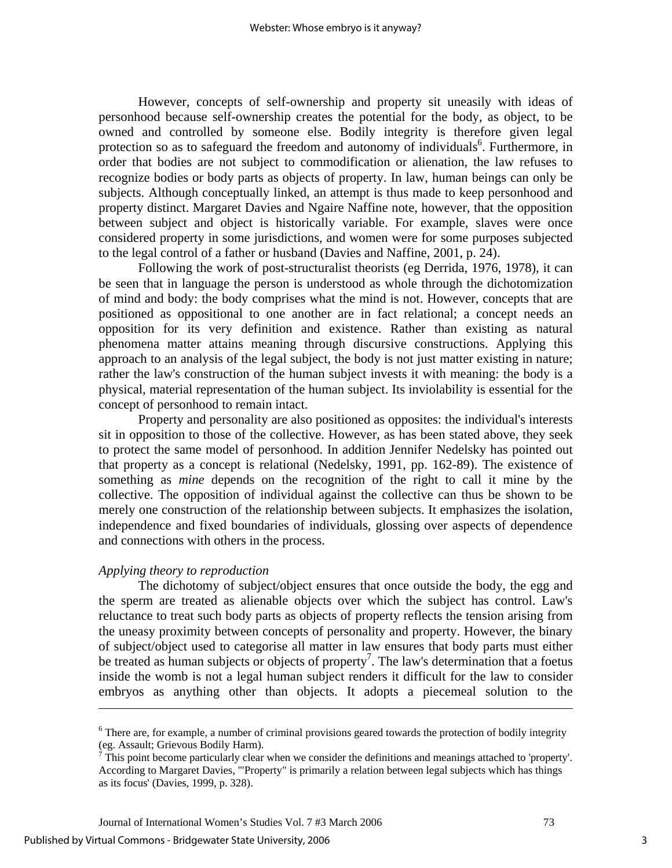However, concepts of self-ownership and property sit uneasily with ideas of personhood because self-ownership creates the potential for the body, as object, to be owned and controlled by someone else. Bodily integrity is therefore given legal protection so as to safeguard the freedom and autonomy of individuals<sup>[6](#page-3-0)</sup>. Furthermore, in order that bodies are not subject to commodification or alienation, the law refuses to recognize bodies or body parts as objects of property. In law, human beings can only be subjects. Although conceptually linked, an attempt is thus made to keep personhood and property distinct. Margaret Davies and Ngaire Naffine note, however, that the opposition between subject and object is historically variable. For example, slaves were once considered property in some jurisdictions, and women were for some purposes subjected to the legal control of a father or husband (Davies and Naffine, 2001, p. 24).

Following the work of post-structuralist theorists (eg Derrida, 1976, 1978), it can be seen that in language the person is understood as whole through the dichotomization of mind and body: the body comprises what the mind is not. However, concepts that are positioned as oppositional to one another are in fact relational; a concept needs an opposition for its very definition and existence. Rather than existing as natural phenomena matter attains meaning through discursive constructions. Applying this approach to an analysis of the legal subject, the body is not just matter existing in nature; rather the law's construction of the human subject invests it with meaning: the body is a physical, material representation of the human subject. Its inviolability is essential for the concept of personhood to remain intact.

Property and personality are also positioned as opposites: the individual's interests sit in opposition to those of the collective. However, as has been stated above, they seek to protect the same model of personhood. In addition Jennifer Nedelsky has pointed out that property as a concept is relational (Nedelsky, 1991, pp. 162-89). The existence of something as *mine* depends on the recognition of the right to call it mine by the collective. The opposition of individual against the collective can thus be shown to be merely one construction of the relationship between subjects. It emphasizes the isolation, independence and fixed boundaries of individuals, glossing over aspects of dependence and connections with others in the process.

#### *Applying theory to reproduction*

The dichotomy of subject/object ensures that once outside the body, the egg and the sperm are treated as alienable objects over which the subject has control. Law's reluctance to treat such body parts as objects of property reflects the tension arising from the uneasy proximity between concepts of personality and property. However, the binary of subject/object used to categorise all matter in law ensures that body parts must either be treated as human subjects or objects of property<sup>[7](#page-3-1)</sup>. The law's determination that a foetus inside the womb is not a legal human subject renders it difficult for the law to consider embryos as anything other than objects. It adopts a piecemeal solution to the

l

<span id="page-3-0"></span><sup>&</sup>lt;sup>6</sup> There are, for example, a number of criminal provisions geared towards the protection of bodily integrity (eg. Assault; Grievous Bodily Harm).<br><sup>7</sup> This point become particularly clear when we consider the definitions and meanings attached to 'property'.

<span id="page-3-1"></span>According to Margaret Davies, '"Property" is primarily a relation between legal subjects which has things as its focus' (Davies, 1999, p. 328).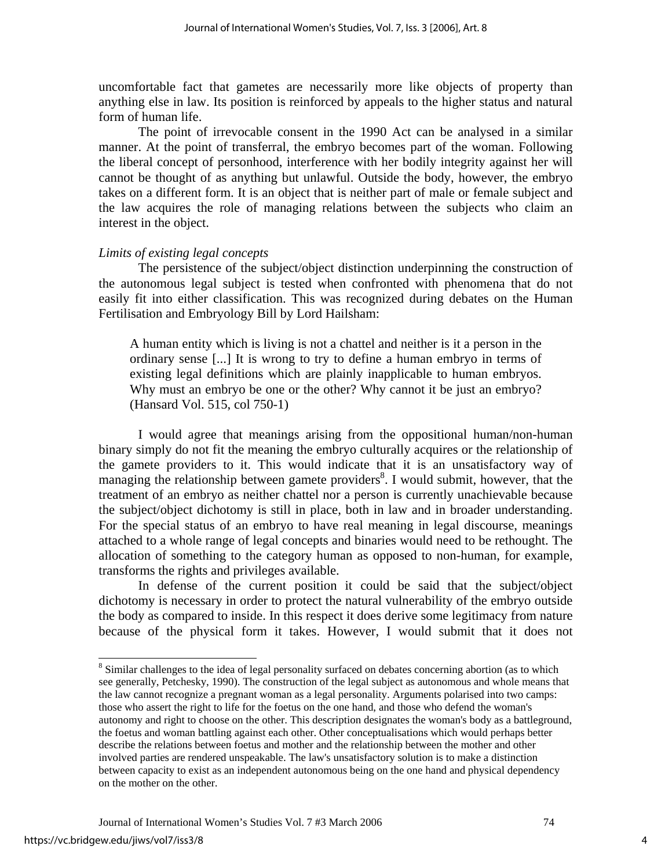uncomfortable fact that gametes are necessarily more like objects of property than anything else in law. Its position is reinforced by appeals to the higher status and natural form of human life.

The point of irrevocable consent in the 1990 Act can be analysed in a similar manner. At the point of transferral, the embryo becomes part of the woman. Following the liberal concept of personhood, interference with her bodily integrity against her will cannot be thought of as anything but unlawful. Outside the body, however, the embryo takes on a different form. It is an object that is neither part of male or female subject and the law acquires the role of managing relations between the subjects who claim an interest in the object.

#### *Limits of existing legal concepts*

The persistence of the subject/object distinction underpinning the construction of the autonomous legal subject is tested when confronted with phenomena that do not easily fit into either classification. This was recognized during debates on the Human Fertilisation and Embryology Bill by Lord Hailsham:

A human entity which is living is not a chattel and neither is it a person in the ordinary sense [...] It is wrong to try to define a human embryo in terms of existing legal definitions which are plainly inapplicable to human embryos. Why must an embryo be one or the other? Why cannot it be just an embryo? (Hansard Vol. 515, col 750-1)

I would agree that meanings arising from the oppositional human/non-human binary simply do not fit the meaning the embryo culturally acquires or the relationship of the gamete providers to it. This would indicate that it is an unsatisfactory way of managing the relationship between gamete providers<sup>[8](#page-4-0)</sup>. I would submit, however, that the treatment of an embryo as neither chattel nor a person is currently unachievable because the subject/object dichotomy is still in place, both in law and in broader understanding. For the special status of an embryo to have real meaning in legal discourse, meanings attached to a whole range of legal concepts and binaries would need to be rethought. The allocation of something to the category human as opposed to non-human, for example, transforms the rights and privileges available.

In defense of the current position it could be said that the subject/object dichotomy is necessary in order to protect the natural vulnerability of the embryo outside the body as compared to inside. In this respect it does derive some legitimacy from nature because of the physical form it takes. However, I would submit that it does not

<span id="page-4-0"></span><sup>&</sup>lt;sup>8</sup> Similar challenges to the idea of legal personality surfaced on debates concerning abortion (as to which see generally, Petchesky, 1990). The construction of the legal subject as autonomous and whole means that the law cannot recognize a pregnant woman as a legal personality. Arguments polarised into two camps: those who assert the right to life for the foetus on the one hand, and those who defend the woman's autonomy and right to choose on the other. This description designates the woman's body as a battleground, the foetus and woman battling against each other. Other conceptualisations which would perhaps better describe the relations between foetus and mother and the relationship between the mother and other involved parties are rendered unspeakable. The law's unsatisfactory solution is to make a distinction between capacity to exist as an independent autonomous being on the one hand and physical dependency on the mother on the other.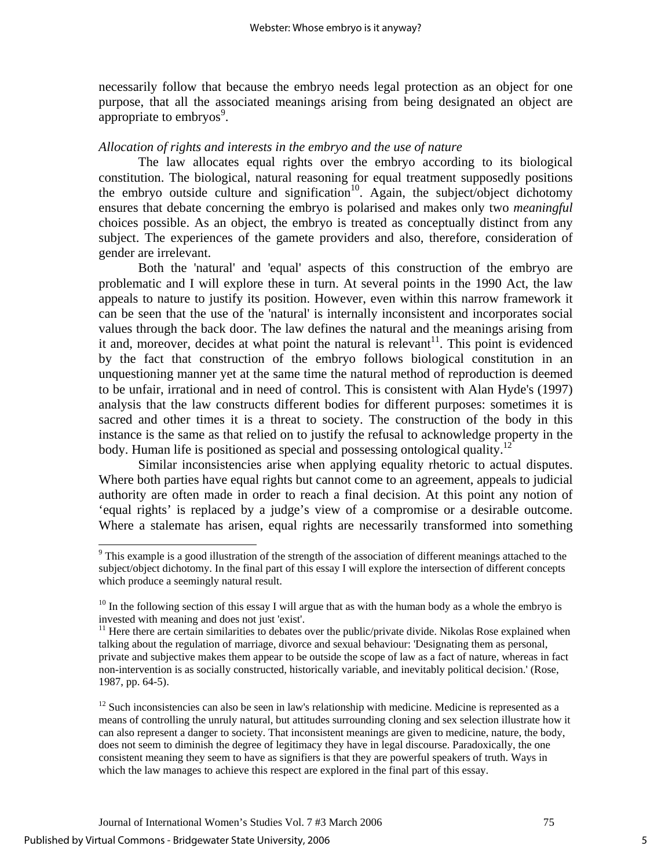necessarily follow that because the embryo needs legal protection as an object for one purpose, that all the associated meanings arising from being designated an object are appropriate to embryos $9$ .

#### *Allocation of rights and interests in the embryo and the use of nature*

The law allocates equal rights over the embryo according to its biological constitution. The biological, natural reasoning for equal treatment supposedly positions the embryo outside culture and signification<sup>10</sup>. Again, the subject/object dichotomy ensures that debate concerning the embryo is polarised and makes only two *meaningful*  choices possible. As an object, the embryo is treated as conceptually distinct from any subject. The experiences of the gamete providers and also, therefore, consideration of gender are irrelevant.

Both the 'natural' and 'equal' aspects of this construction of the embryo are problematic and I will explore these in turn. At several points in the 1990 Act, the law appeals to nature to justify its position. However, even within this narrow framework it can be seen that the use of the 'natural' is internally inconsistent and incorporates social values through the back door. The law defines the natural and the meanings arising from it and, moreover, decides at what point the natural is relevant<sup>11</sup>. This point is evidenced by the fact that construction of the embryo follows biological constitution in an unquestioning manner yet at the same time the natural method of reproduction is deemed to be unfair, irrational and in need of control. This is consistent with Alan Hyde's (1997) analysis that the law constructs different bodies for different purposes: sometimes it is sacred and other times it is a threat to society. The construction of the body in this instance is the same as that relied on to justify the refusal to acknowledge property in the body. Human life is positioned as special and possessing ontological quality.<sup>[12](#page-5-3)</sup>

Similar inconsistencies arise when applying equality rhetoric to actual disputes. Where both parties have equal rights but cannot come to an agreement, appeals to judicial authority are often made in order to reach a final decision. At this point any notion of 'equal rights' is replaced by a judge's view of a compromise or a desirable outcome. Where a stalemate has arisen, equal rights are necessarily transformed into something

<span id="page-5-0"></span><sup>&</sup>lt;sup>9</sup> This example is a good illustration of the strength of the association of different meanings attached to the subject/object dichotomy. In the final part of this essay I will explore the intersection of different concepts which produce a seemingly natural result.

<span id="page-5-1"></span> $10$  In the following section of this essay I will argue that as with the human body as a whole the embryo is invested with meaning and does not just 'exist'.

<span id="page-5-2"></span><sup>&</sup>lt;sup>11</sup> Here there are certain similarities to debates over the public/private divide. Nikolas Rose explained when talking about the regulation of marriage, divorce and sexual behaviour: 'Designating them as personal, private and subjective makes them appear to be outside the scope of law as a fact of nature, whereas in fact non-intervention is as socially constructed, historically variable, and inevitably political decision.' (Rose, 1987, pp. 64-5).

<span id="page-5-3"></span> $12$  Such inconsistencies can also be seen in law's relationship with medicine. Medicine is represented as a means of controlling the unruly natural, but attitudes surrounding cloning and sex selection illustrate how it can also represent a danger to society. That inconsistent meanings are given to medicine, nature, the body, does not seem to diminish the degree of legitimacy they have in legal discourse. Paradoxically, the one consistent meaning they seem to have as signifiers is that they are powerful speakers of truth. Ways in which the law manages to achieve this respect are explored in the final part of this essay.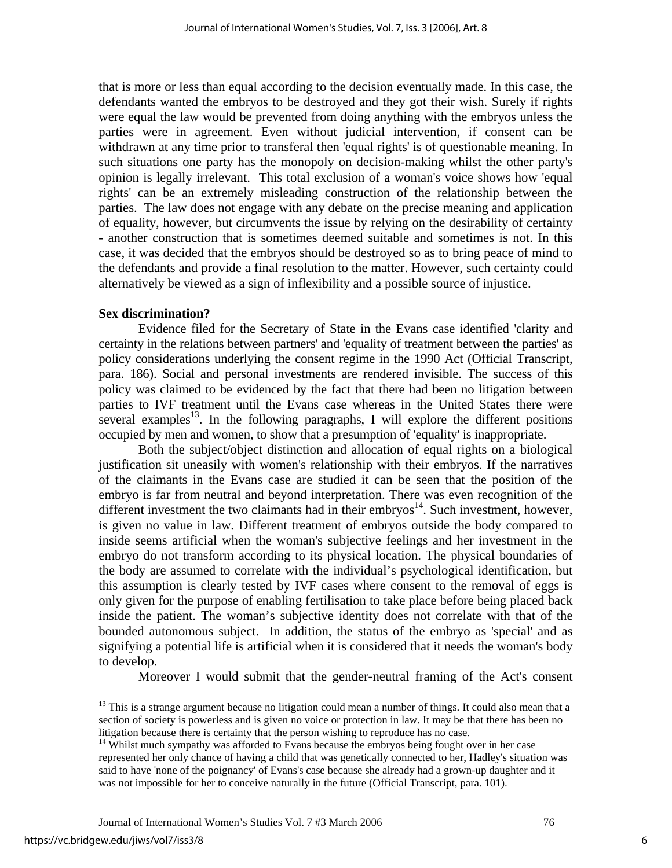that is more or less than equal according to the decision eventually made. In this case, the defendants wanted the embryos to be destroyed and they got their wish. Surely if rights were equal the law would be prevented from doing anything with the embryos unless the parties were in agreement. Even without judicial intervention, if consent can be withdrawn at any time prior to transferal then 'equal rights' is of questionable meaning. In such situations one party has the monopoly on decision-making whilst the other party's opinion is legally irrelevant. This total exclusion of a woman's voice shows how 'equal rights' can be an extremely misleading construction of the relationship between the parties. The law does not engage with any debate on the precise meaning and application of equality, however, but circumvents the issue by relying on the desirability of certainty - another construction that is sometimes deemed suitable and sometimes is not. In this case, it was decided that the embryos should be destroyed so as to bring peace of mind to the defendants and provide a final resolution to the matter. However, such certainty could alternatively be viewed as a sign of inflexibility and a possible source of injustice.

#### **Sex discrimination?**

Evidence filed for the Secretary of State in the Evans case identified 'clarity and certainty in the relations between partners' and 'equality of treatment between the parties' as policy considerations underlying the consent regime in the 1990 Act (Official Transcript, para. 186). Social and personal investments are rendered invisible. The success of this policy was claimed to be evidenced by the fact that there had been no litigation between parties to IVF treatment until the Evans case whereas in the United States there were several examples<sup>13</sup>. In the following paragraphs, I will explore the different positions occupied by men and women, to show that a presumption of 'equality' is inappropriate.

Both the subject/object distinction and allocation of equal rights on a biological justification sit uneasily with women's relationship with their embryos. If the narratives of the claimants in the Evans case are studied it can be seen that the position of the embryo is far from neutral and beyond interpretation. There was even recognition of the different investment the two claimants had in their embryos<sup>14</sup>. Such investment, however, is given no value in law. Different treatment of embryos outside the body compared to inside seems artificial when the woman's subjective feelings and her investment in the embryo do not transform according to its physical location. The physical boundaries of the body are assumed to correlate with the individual's psychological identification, but this assumption is clearly tested by IVF cases where consent to the removal of eggs is only given for the purpose of enabling fertilisation to take place before being placed back inside the patient. The woman's subjective identity does not correlate with that of the bounded autonomous subject. In addition, the status of the embryo as 'special' and as signifying a potential life is artificial when it is considered that it needs the woman's body to develop.

Moreover I would submit that the gender-neutral framing of the Act's consent

<span id="page-6-0"></span> $13$  This is a strange argument because no litigation could mean a number of things. It could also mean that a section of society is powerless and is given no voice or protection in law. It may be that there has been no litigation because there is certainty that the person wishing to reproduce has no case.

<span id="page-6-1"></span> $14$  Whilst much sympathy was afforded to Evans because the embryos being fought over in her case represented her only chance of having a child that was genetically connected to her, Hadley's situation was said to have 'none of the poignancy' of Evans's case because she already had a grown-up daughter and it was not impossible for her to conceive naturally in the future (Official Transcript, para. 101).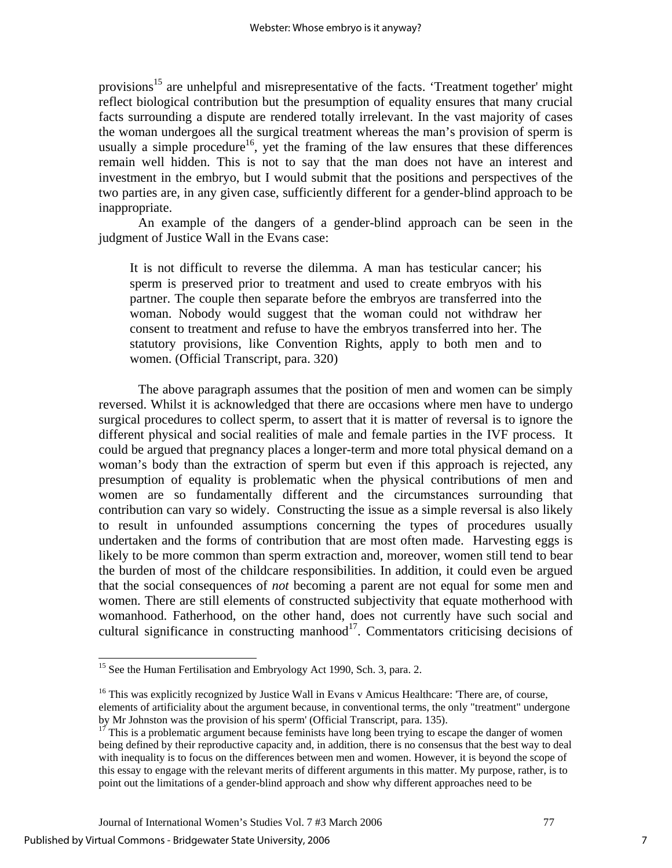provisions<sup>15</sup> are unhelpful and misrepresentative of the facts. 'Treatment together' might reflect biological contribution but the presumption of equality ensures that many crucial facts surrounding a dispute are rendered totally irrelevant. In the vast majority of cases the woman undergoes all the surgical treatment whereas the man's provision of sperm is usually a simple procedure<sup>16</sup>, yet the framing of the law ensures that these differences remain well hidden. This is not to say that the man does not have an interest and investment in the embryo, but I would submit that the positions and perspectives of the two parties are, in any given case, sufficiently different for a gender-blind approach to be inappropriate.

An example of the dangers of a gender-blind approach can be seen in the judgment of Justice Wall in the Evans case:

It is not difficult to reverse the dilemma. A man has testicular cancer; his sperm is preserved prior to treatment and used to create embryos with his partner. The couple then separate before the embryos are transferred into the woman. Nobody would suggest that the woman could not withdraw her consent to treatment and refuse to have the embryos transferred into her. The statutory provisions, like Convention Rights, apply to both men and to women. (Official Transcript, para. 320)

The above paragraph assumes that the position of men and women can be simply reversed. Whilst it is acknowledged that there are occasions where men have to undergo surgical procedures to collect sperm, to assert that it is matter of reversal is to ignore the different physical and social realities of male and female parties in the IVF process. It could be argued that pregnancy places a longer-term and more total physical demand on a woman's body than the extraction of sperm but even if this approach is rejected, any presumption of equality is problematic when the physical contributions of men and women are so fundamentally different and the circumstances surrounding that contribution can vary so widely. Constructing the issue as a simple reversal is also likely to result in unfounded assumptions concerning the types of procedures usually undertaken and the forms of contribution that are most often made. Harvesting eggs is likely to be more common than sperm extraction and, moreover, women still tend to bear the burden of most of the childcare responsibilities. In addition, it could even be argued that the social consequences of *not* becoming a parent are not equal for some men and women. There are still elements of constructed subjectivity that equate motherhood with womanhood. Fatherhood, on the other hand, does not currently have such social and cultural significance in constructing manhood<sup>17</sup>. Commentators criticising decisions of

<span id="page-7-0"></span><sup>&</sup>lt;sup>15</sup> See the Human Fertilisation and Embryology Act 1990, Sch. 3, para. 2.

<span id="page-7-1"></span><sup>&</sup>lt;sup>16</sup> This was explicitly recognized by Justice Wall in Evans v Amicus Healthcare: 'There are, of course, elements of artificiality about the argument because, in conventional terms, the only "treatment" undergone by Mr Johnston was the provision of his sperm' (Official Transcript, para. 135).

<span id="page-7-2"></span> $17$ <sup>17</sup> This is a problematic argument because feminists have long been trying to escape the danger of women being defined by their reproductive capacity and, in addition, there is no consensus that the best way to deal with inequality is to focus on the differences between men and women. However, it is beyond the scope of this essay to engage with the relevant merits of different arguments in this matter. My purpose, rather, is to point out the limitations of a gender-blind approach and show why different approaches need to be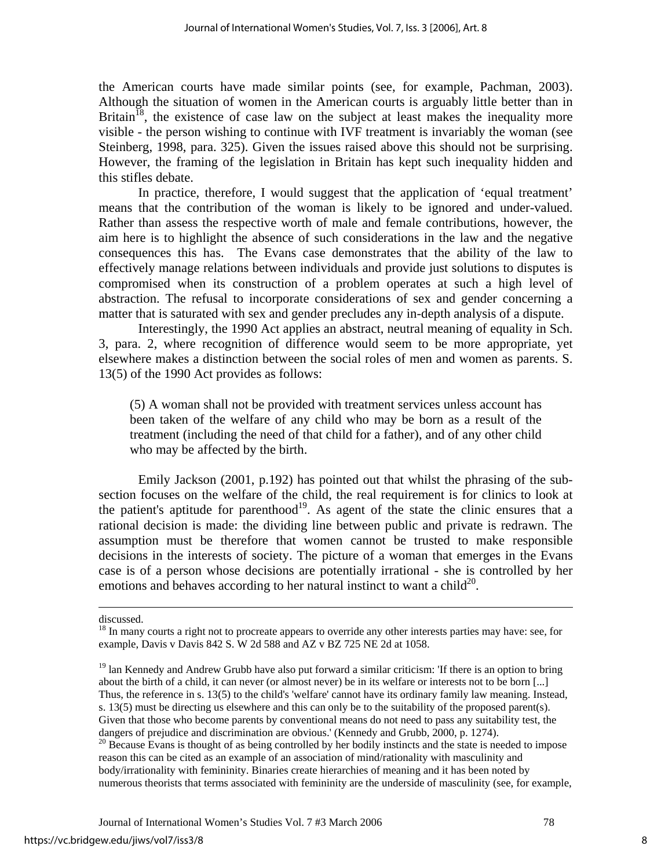the American courts have made similar points (see, for example, Pachman, 2003). Although the situation of women in the American courts is arguably little better than in Britain<sup>18</sup>, the existence of case law on the subject at least makes the inequality more visible - the person wishing to continue with IVF treatment is invariably the woman (see Steinberg, 1998, para. 325). Given the issues raised above this should not be surprising. However, the framing of the legislation in Britain has kept such inequality hidden and this stifles debate.

In practice, therefore, I would suggest that the application of 'equal treatment' means that the contribution of the woman is likely to be ignored and under-valued. Rather than assess the respective worth of male and female contributions, however, the aim here is to highlight the absence of such considerations in the law and the negative consequences this has. The Evans case demonstrates that the ability of the law to effectively manage relations between individuals and provide just solutions to disputes is compromised when its construction of a problem operates at such a high level of abstraction. The refusal to incorporate considerations of sex and gender concerning a matter that is saturated with sex and gender precludes any in-depth analysis of a dispute.

Interestingly, the 1990 Act applies an abstract, neutral meaning of equality in Sch. 3, para. 2, where recognition of difference would seem to be more appropriate, yet elsewhere makes a distinction between the social roles of men and women as parents. S. 13(5) of the 1990 Act provides as follows:

(5) A woman shall not be provided with treatment services unless account has been taken of the welfare of any child who may be born as a result of the treatment (including the need of that child for a father), and of any other child who may be affected by the birth.

Emily Jackson (2001, p.192) has pointed out that whilst the phrasing of the subsection focuses on the welfare of the child, the real requirement is for clinics to look at the patient's aptitude for parenthood<sup>19</sup>. As agent of the state the clinic ensures that a rational decision is made: the dividing line between public and private is redrawn. The assumption must be therefore that women cannot be trusted to make responsible decisions in the interests of society. The picture of a woman that emerges in the Evans case is of a person whose decisions are potentially irrational - she is controlled by her emotions and behaves according to her natural instinct to want a child<sup>20</sup>.

discussed.

<span id="page-8-0"></span><sup>&</sup>lt;sup>18</sup> In many courts a right not to procreate appears to override any other interests parties may have: see, for example, Davis v Davis 842 S. W 2d 588 and AZ v BZ 725 NE 2d at 1058.

<span id="page-8-1"></span><sup>&</sup>lt;sup>19</sup> lan Kennedy and Andrew Grubb have also put forward a similar criticism: 'If there is an option to bring about the birth of a child, it can never (or almost never) be in its welfare or interests not to be born [...] Thus, the reference in s. 13(5) to the child's 'welfare' cannot have its ordinary family law meaning. Instead, s. 13(5) must be directing us elsewhere and this can only be to the suitability of the proposed parent(s). Given that those who become parents by conventional means do not need to pass any suitability test, the dangers of prejudice and discrimination are obvious.' (Kennedy and Grubb, 2000, p. 1274).

<span id="page-8-2"></span><sup>&</sup>lt;sup>20</sup> Because Evans is thought of as being controlled by her bodily instincts and the state is needed to impose reason this can be cited as an example of an association of mind/rationality with masculinity and body/irrationality with femininity. Binaries create hierarchies of meaning and it has been noted by numerous theorists that terms associated with femininity are the underside of masculinity (see, for example,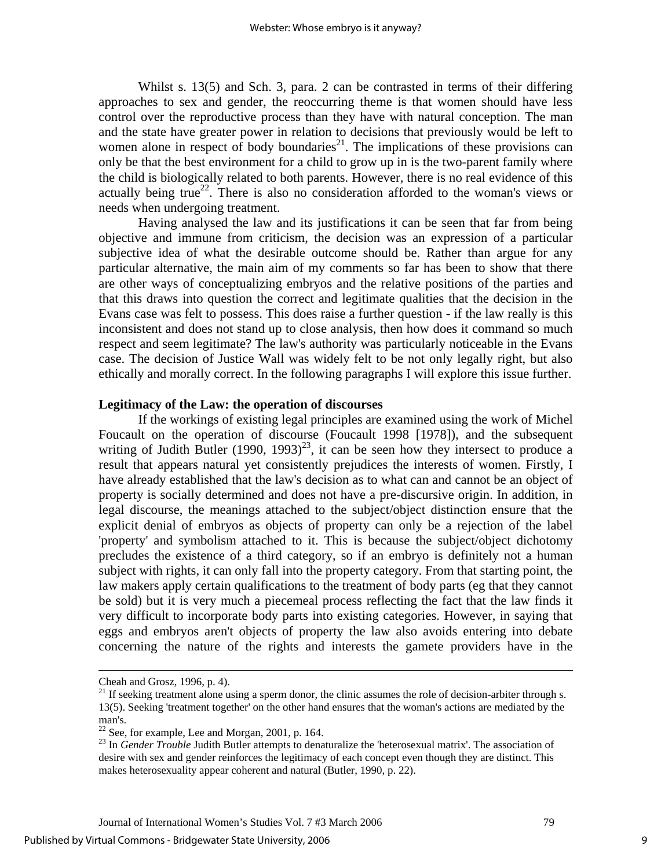Whilst s. 13(5) and Sch. 3, para. 2 can be contrasted in terms of their differing approaches to sex and gender, the reoccurring theme is that women should have less control over the reproductive process than they have with natural conception. The man and the state have greater power in relation to decisions that previously would be left to women alone in respect of body boundaries<sup>21</sup>. The implications of these provisions can only be that the best environment for a child to grow up in is the two-parent family where the child is biologically related to both parents. However, there is no real evidence of this actually being true<sup>22</sup>. There is also no consideration afforded to the woman's views or needs when undergoing treatment.

Having analysed the law and its justifications it can be seen that far from being objective and immune from criticism, the decision was an expression of a particular subjective idea of what the desirable outcome should be. Rather than argue for any particular alternative, the main aim of my comments so far has been to show that there are other ways of conceptualizing embryos and the relative positions of the parties and that this draws into question the correct and legitimate qualities that the decision in the Evans case was felt to possess. This does raise a further question - if the law really is this inconsistent and does not stand up to close analysis, then how does it command so much respect and seem legitimate? The law's authority was particularly noticeable in the Evans case. The decision of Justice Wall was widely felt to be not only legally right, but also ethically and morally correct. In the following paragraphs I will explore this issue further.

#### **Legitimacy of the Law: the operation of discourses**

If the workings of existing legal principles are examined using the work of Michel Foucault on the operation of discourse (Foucault 1998 [1978]), and the subsequent writing of Judith Butler  $(1990, 1993)^{23}$ , it can be seen how they intersect to produce a result that appears natural yet consistently prejudices the interests of women. Firstly, I have already established that the law's decision as to what can and cannot be an object of property is socially determined and does not have a pre-discursive origin. In addition, in legal discourse, the meanings attached to the subject/object distinction ensure that the explicit denial of embryos as objects of property can only be a rejection of the label 'property' and symbolism attached to it. This is because the subject/object dichotomy precludes the existence of a third category, so if an embryo is definitely not a human subject with rights, it can only fall into the property category. From that starting point, the law makers apply certain qualifications to the treatment of body parts (eg that they cannot be sold) but it is very much a piecemeal process reflecting the fact that the law finds it very difficult to incorporate body parts into existing categories. However, in saying that eggs and embryos aren't objects of property the law also avoids entering into debate concerning the nature of the rights and interests the gamete providers have in the

l

Cheah and Grosz, 1996, p. 4).

<span id="page-9-0"></span><sup>&</sup>lt;sup>21</sup> If seeking treatment alone using a sperm donor, the clinic assumes the role of decision-arbiter through s. 13(5). Seeking 'treatment together' on the other hand ensures that the woman's actions are mediated by the man's.

<span id="page-9-1"></span> $22$  See, for example, Lee and Morgan, 2001, p. 164.

<span id="page-9-2"></span><sup>&</sup>lt;sup>23</sup> In *Gender Trouble* Judith Butler attempts to denaturalize the 'heterosexual matrix'. The association of desire with sex and gender reinforces the legitimacy of each concept even though they are distinct. This makes heterosexuality appear coherent and natural (Butler, 1990, p. 22).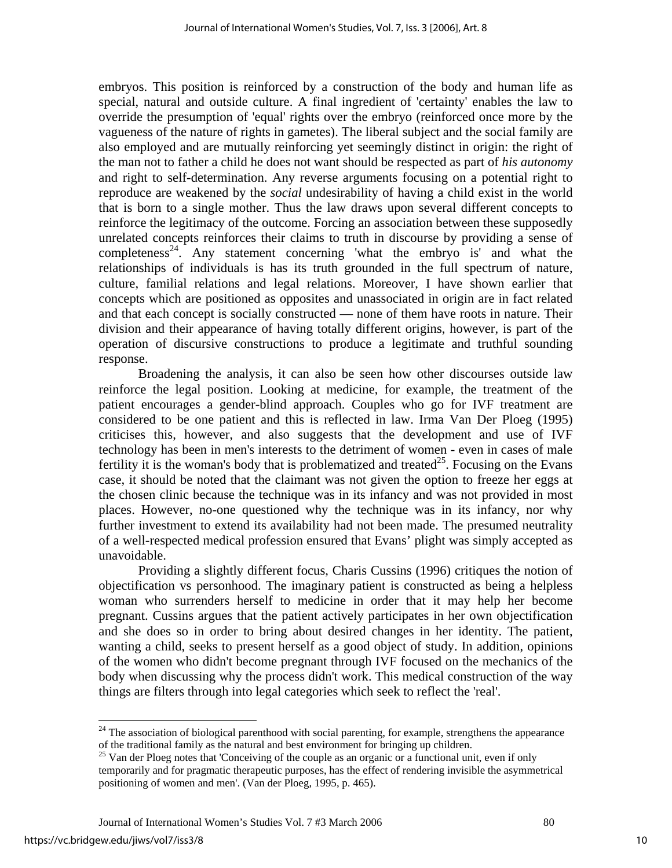embryos. This position is reinforced by a construction of the body and human life as special, natural and outside culture. A final ingredient of 'certainty' enables the law to override the presumption of 'equal' rights over the embryo (reinforced once more by the vagueness of the nature of rights in gametes). The liberal subject and the social family are also employed and are mutually reinforcing yet seemingly distinct in origin: the right of the man not to father a child he does not want should be respected as part of *his autonomy*  and right to self-determination. Any reverse arguments focusing on a potential right to reproduce are weakened by the *social* undesirability of having a child exist in the world that is born to a single mother. Thus the law draws upon several different concepts to reinforce the legitimacy of the outcome. Forcing an association between these supposedly unrelated concepts reinforces their claims to truth in discourse by providing a sense of completeness<sup>24</sup>. Any statement concerning 'what the embryo is' and what the relationships of individuals is has its truth grounded in the full spectrum of nature, culture, familial relations and legal relations. Moreover, I have shown earlier that concepts which are positioned as opposites and unassociated in origin are in fact related and that each concept is socially constructed — none of them have roots in nature. Their division and their appearance of having totally different origins, however, is part of the operation of discursive constructions to produce a legitimate and truthful sounding response.

Broadening the analysis, it can also be seen how other discourses outside law reinforce the legal position. Looking at medicine, for example, the treatment of the patient encourages a gender-blind approach. Couples who go for IVF treatment are considered to be one patient and this is reflected in law. Irma Van Der Ploeg (1995) criticises this, however, and also suggests that the development and use of IVF technology has been in men's interests to the detriment of women - even in cases of male fertility it is the woman's body that is problematized and treated<sup>25</sup>. Focusing on the Evans case, it should be noted that the claimant was not given the option to freeze her eggs at the chosen clinic because the technique was in its infancy and was not provided in most places. However, no-one questioned why the technique was in its infancy, nor why further investment to extend its availability had not been made. The presumed neutrality of a well-respected medical profession ensured that Evans' plight was simply accepted as unavoidable.

Providing a slightly different focus, Charis Cussins (1996) critiques the notion of objectification vs personhood. The imaginary patient is constructed as being a helpless woman who surrenders herself to medicine in order that it may help her become pregnant. Cussins argues that the patient actively participates in her own objectification and she does so in order to bring about desired changes in her identity. The patient, wanting a child, seeks to present herself as a good object of study. In addition, opinions of the women who didn't become pregnant through IVF focused on the mechanics of the body when discussing why the process didn't work. This medical construction of the way things are filters through into legal categories which seek to reflect the 'real'.

<span id="page-10-0"></span> $24$  The association of biological parenthood with social parenting, for example, strengthens the appearance of the traditional family as the natural and best environment for bringing up children.

<span id="page-10-1"></span><sup>&</sup>lt;sup>25</sup> Van der Ploeg notes that 'Conceiving of the couple as an organic or a functional unit, even if only temporarily and for pragmatic therapeutic purposes, has the effect of rendering invisible the asymmetrical positioning of women and men'. (Van der Ploeg, 1995, p. 465).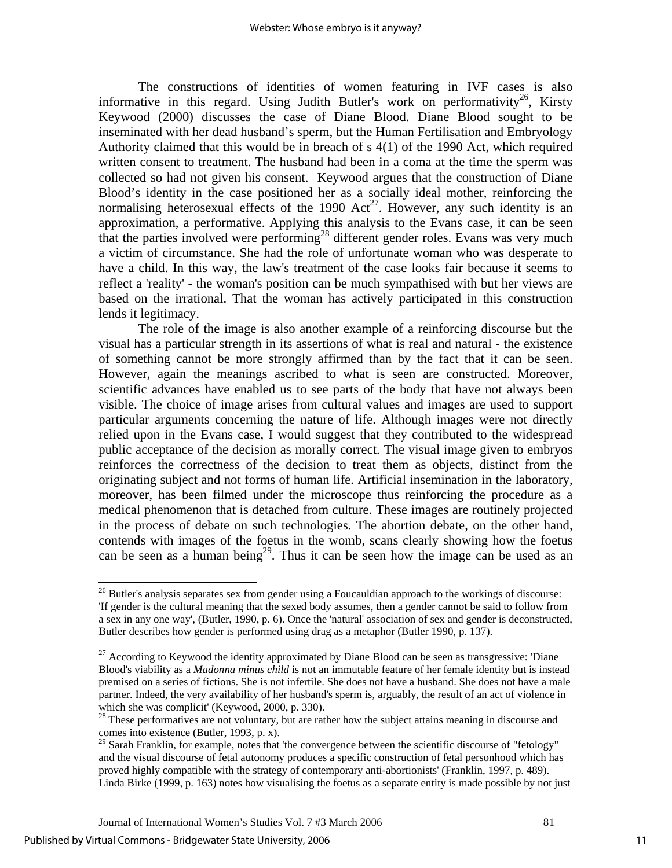The constructions of identities of women featuring in IVF cases is also informative in this regard. Using Judith Butler's work on performativity<sup>26</sup>, Kirsty Keywood (2000) discusses the case of Diane Blood. Diane Blood sought to be inseminated with her dead husband's sperm, but the Human Fertilisation and Embryology Authority claimed that this would be in breach of s 4(1) of the 1990 Act, which required written consent to treatment. The husband had been in a coma at the time the sperm was collected so had not given his consent. Keywood argues that the construction of Diane Blood's identity in the case positioned her as a socially ideal mother, reinforcing the normalising heterosexual effects of the 1990  $Act^{27}$ . However, any such identity is an approximation, a performative. Applying this analysis to the Evans case, it can be seen that the parties involved were performing<sup>28</sup> different gender roles. Evans was very much a victim of circumstance. She had the role of unfortunate woman who was desperate to have a child. In this way, the law's treatment of the case looks fair because it seems to reflect a 'reality' - the woman's position can be much sympathised with but her views are based on the irrational. That the woman has actively participated in this construction lends it legitimacy.

The role of the image is also another example of a reinforcing discourse but the visual has a particular strength in its assertions of what is real and natural - the existence of something cannot be more strongly affirmed than by the fact that it can be seen. However, again the meanings ascribed to what is seen are constructed. Moreover, scientific advances have enabled us to see parts of the body that have not always been visible. The choice of image arises from cultural values and images are used to support particular arguments concerning the nature of life. Although images were not directly relied upon in the Evans case, I would suggest that they contributed to the widespread public acceptance of the decision as morally correct. The visual image given to embryos reinforces the correctness of the decision to treat them as objects, distinct from the originating subject and not forms of human life. Artificial insemination in the laboratory, moreover, has been filmed under the microscope thus reinforcing the procedure as a medical phenomenon that is detached from culture. These images are routinely projected in the process of debate on such technologies. The abortion debate, on the other hand, contends with images of the foetus in the womb, scans clearly showing how the foetus can be seen as a human being<sup>29</sup>. Thus it can be seen how the image can be used as an

<span id="page-11-0"></span> $26$  Butler's analysis separates sex from gender using a Foucauldian approach to the workings of discourse: 'If gender is the cultural meaning that the sexed body assumes, then a gender cannot be said to follow from a sex in any one way', (Butler, 1990, p. 6). Once the 'natural' association of sex and gender is deconstructed, Butler describes how gender is performed using drag as a metaphor (Butler 1990, p. 137).

<span id="page-11-1"></span><sup>&</sup>lt;sup>27</sup> According to Keywood the identity approximated by Diane Blood can be seen as transgressive: 'Diane Blood's viability as a *Madonna minus child* is not an immutable feature of her female identity but is instead premised on a series of fictions. She is not infertile. She does not have a husband. She does not have a male partner. Indeed, the very availability of her husband's sperm is, arguably, the result of an act of violence in which she was complicit' (Keywood, 2000, p. 330).

<span id="page-11-2"></span><sup>&</sup>lt;sup>28</sup> These performatives are not voluntary, but are rather how the subject attains meaning in discourse and comes into existence (Butler, 1993, p. x).

<span id="page-11-3"></span> $29$  Sarah Franklin, for example, notes that 'the convergence between the scientific discourse of "fetology" and the visual discourse of fetal autonomy produces a specific construction of fetal personhood which has proved highly compatible with the strategy of contemporary anti-abortionists' (Franklin, 1997, p. 489). Linda Birke (1999, p. 163) notes how visualising the foetus as a separate entity is made possible by not just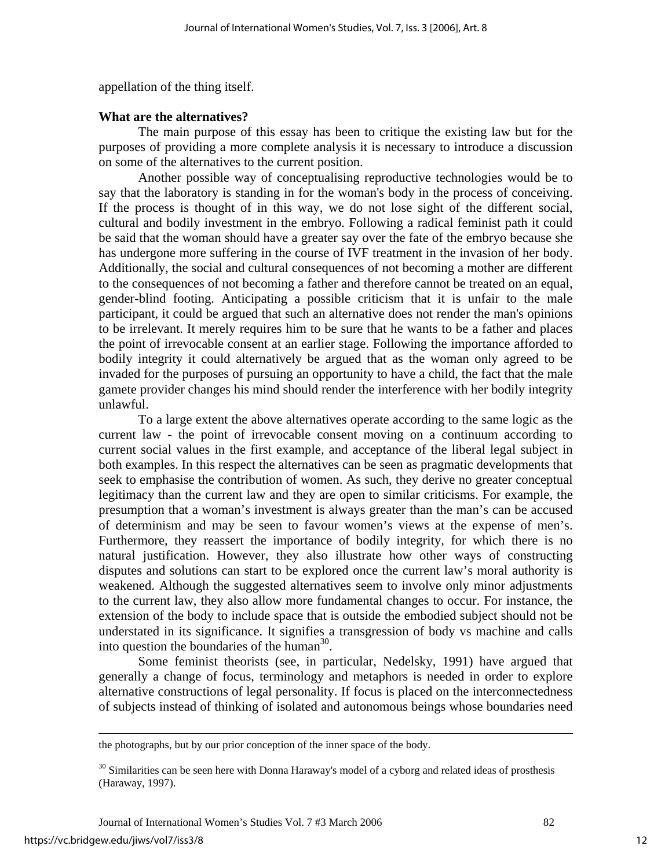appellation of the thing itself.

#### **What are the alternatives?**

The main purpose of this essay has been to critique the existing law but for the purposes of providing a more complete analysis it is necessary to introduce a discussion on some of the alternatives to the current position.

Another possible way of conceptualising reproductive technologies would be to say that the laboratory is standing in for the woman's body in the process of conceiving. If the process is thought of in this way, we do not lose sight of the different social, cultural and bodily investment in the embryo. Following a radical feminist path it could be said that the woman should have a greater say over the fate of the embryo because she has undergone more suffering in the course of IVF treatment in the invasion of her body. Additionally, the social and cultural consequences of not becoming a mother are different to the consequences of not becoming a father and therefore cannot be treated on an equal, gender-blind footing. Anticipating a possible criticism that it is unfair to the male participant, it could be argued that such an alternative does not render the man's opinions to be irrelevant. It merely requires him to be sure that he wants to be a father and places the point of irrevocable consent at an earlier stage. Following the importance afforded to bodily integrity it could alternatively be argued that as the woman only agreed to be invaded for the purposes of pursuing an opportunity to have a child, the fact that the male gamete provider changes his mind should render the interference with her bodily integrity unlawful.

To a large extent the above alternatives operate according to the same logic as the current law - the point of irrevocable consent moving on a continuum according to current social values in the first example, and acceptance of the liberal legal subject in both examples. In this respect the alternatives can be seen as pragmatic developments that seek to emphasise the contribution of women. As such, they derive no greater conceptual legitimacy than the current law and they are open to similar criticisms. For example, the presumption that a woman's investment is always greater than the man's can be accused of determinism and may be seen to favour women's views at the expense of men's. Furthermore, they reassert the importance of bodily integrity, for which there is no natural justification. However, they also illustrate how other ways of constructing disputes and solutions can start to be explored once the current law's moral authority is weakened. Although the suggested alternatives seem to involve only minor adjustments to the current law, they also allow more fundamental changes to occur. For instance, the extension of the body to include space that is outside the embodied subject should not be understated in its significance. It signifies a transgression of body vs machine and calls into question the boundaries of the human $30$ .

Some feminist theorists (see, in particular, Nedelsky, 1991) have argued that generally a change of focus, terminology and metaphors is needed in order to explore alternative constructions of legal personality. If focus is placed on the interconnectedness of subjects instead of thinking of isolated and autonomous beings whose boundaries need

the photographs, but by our prior conception of the inner space of the body.

<span id="page-12-0"></span><sup>&</sup>lt;sup>30</sup> Similarities can be seen here with Donna Haraway's model of a cyborg and related ideas of prosthesis (Haraway, 1997).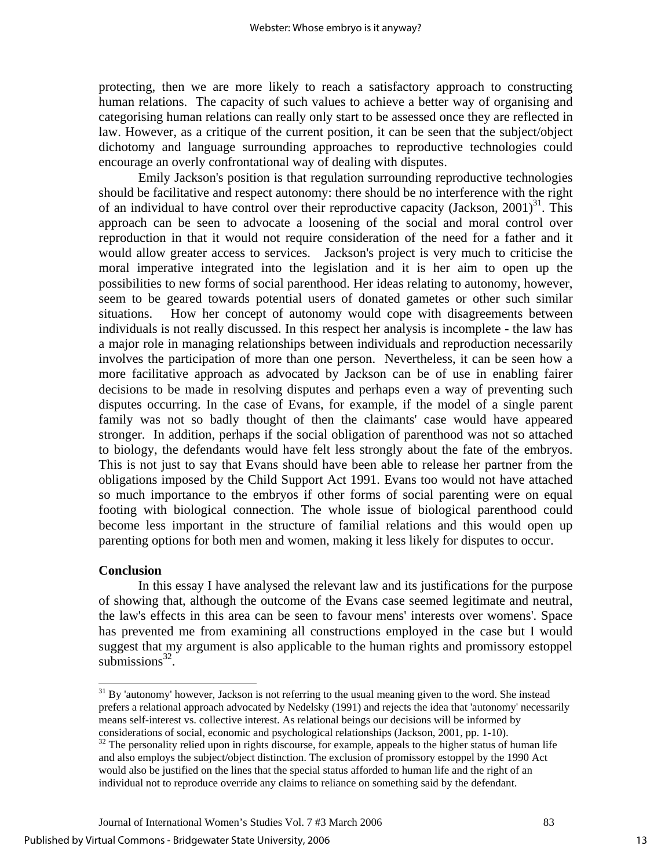protecting, then we are more likely to reach a satisfactory approach to constructing human relations. The capacity of such values to achieve a better way of organising and categorising human relations can really only start to be assessed once they are reflected in law. However, as a critique of the current position, it can be seen that the subject/object dichotomy and language surrounding approaches to reproductive technologies could encourage an overly confrontational way of dealing with disputes.

Emily Jackson's position is that regulation surrounding reproductive technologies should be facilitative and respect autonomy: there should be no interference with the right of an individual to have control over their reproductive capacity (Jackson,  $2001$ )<sup>31</sup>. This approach can be seen to advocate a loosening of the social and moral control over reproduction in that it would not require consideration of the need for a father and it would allow greater access to services. Jackson's project is very much to criticise the moral imperative integrated into the legislation and it is her aim to open up the possibilities to new forms of social parenthood. Her ideas relating to autonomy, however, seem to be geared towards potential users of donated gametes or other such similar situations. How her concept of autonomy would cope with disagreements between individuals is not really discussed. In this respect her analysis is incomplete - the law has a major role in managing relationships between individuals and reproduction necessarily involves the participation of more than one person. Nevertheless, it can be seen how a more facilitative approach as advocated by Jackson can be of use in enabling fairer decisions to be made in resolving disputes and perhaps even a way of preventing such disputes occurring. In the case of Evans, for example, if the model of a single parent family was not so badly thought of then the claimants' case would have appeared stronger. In addition, perhaps if the social obligation of parenthood was not so attached to biology, the defendants would have felt less strongly about the fate of the embryos. This is not just to say that Evans should have been able to release her partner from the obligations imposed by the Child Support Act 1991. Evans too would not have attached so much importance to the embryos if other forms of social parenting were on equal footing with biological connection. The whole issue of biological parenthood could become less important in the structure of familial relations and this would open up parenting options for both men and women, making it less likely for disputes to occur.

## **Conclusion**

 $\overline{\phantom{a}}$ 

In this essay I have analysed the relevant law and its justifications for the purpose of showing that, although the outcome of the Evans case seemed legitimate and neutral, the law's effects in this area can be seen to favour mens' interests over womens'. Space has prevented me from examining all constructions employed in the case but I would suggest that my argument is also applicable to the human rights and promissory estoppel submissions $32$ .

<span id="page-13-0"></span> $31$  By 'autonomy' however, Jackson is not referring to the usual meaning given to the word. She instead prefers a relational approach advocated by Nedelsky (1991) and rejects the idea that 'autonomy' necessarily means self-interest vs. collective interest. As relational beings our decisions will be informed by considerations of social, economic and psychological relationships (Jackson, 2001, pp. 1-10).

<span id="page-13-1"></span> $32$  The personality relied upon in rights discourse, for example, appeals to the higher status of human life and also employs the subject/object distinction. The exclusion of promissory estoppel by the 1990 Act would also be justified on the lines that the special status afforded to human life and the right of an individual not to reproduce override any claims to reliance on something said by the defendant.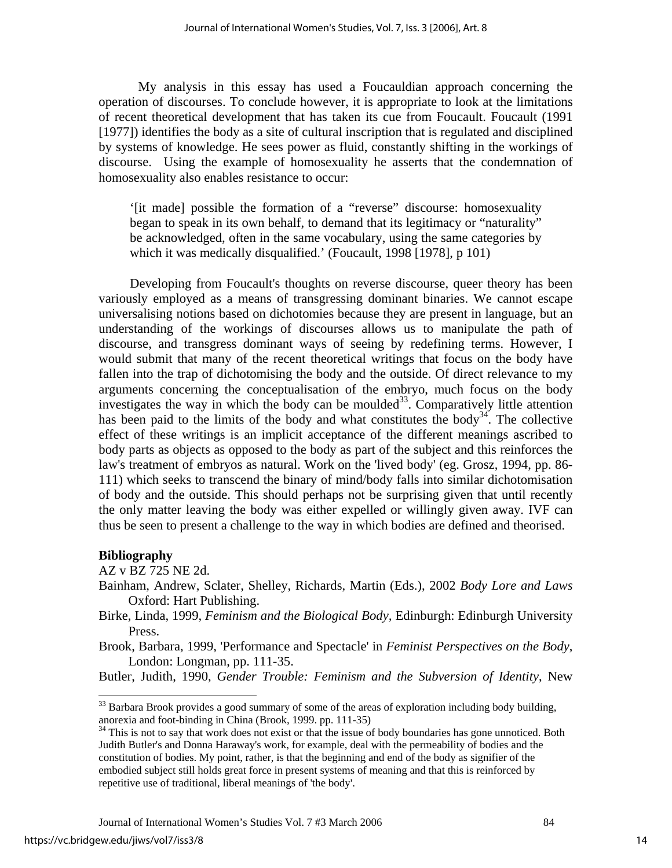My analysis in this essay has used a Foucauldian approach concerning the operation of discourses. To conclude however, it is appropriate to look at the limitations of recent theoretical development that has taken its cue from Foucault. Foucault (1991 [1977]) identifies the body as a site of cultural inscription that is regulated and disciplined by systems of knowledge. He sees power as fluid, constantly shifting in the workings of discourse. Using the example of homosexuality he asserts that the condemnation of homosexuality also enables resistance to occur:

'[it made] possible the formation of a "reverse" discourse: homosexuality began to speak in its own behalf, to demand that its legitimacy or "naturality" be acknowledged, often in the same vocabulary, using the same categories by which it was medically disqualified.' (Foucault, 1998 [1978], p 101)

Developing from Foucault's thoughts on reverse discourse, queer theory has been variously employed as a means of transgressing dominant binaries. We cannot escape universalising notions based on dichotomies because they are present in language, but an understanding of the workings of discourses allows us to manipulate the path of discourse, and transgress dominant ways of seeing by redefining terms. However, I would submit that many of the recent theoretical writings that focus on the body have fallen into the trap of dichotomising the body and the outside. Of direct relevance to my arguments concerning the conceptualisation of the embryo, much focus on the body investigates the way in which the body can be moulded<sup>33</sup>. Comparatively little attention has been paid to the limits of the body and what constitutes the body<sup>34</sup>. The collective effect of these writings is an implicit acceptance of the different meanings ascribed to body parts as objects as opposed to the body as part of the subject and this reinforces the law's treatment of embryos as natural. Work on the 'lived body' (eg. Grosz, 1994, pp. 86- 111) which seeks to transcend the binary of mind/body falls into similar dichotomisation of body and the outside. This should perhaps not be surprising given that until recently the only matter leaving the body was either expelled or willingly given away. IVF can thus be seen to present a challenge to the way in which bodies are defined and theorised.

#### **Bibliography**

AZ v BZ 725 NE 2d.

Brook, Barbara, 1999, 'Performance and Spectacle' in *Feminist Perspectives on the Body*, London: Longman, pp. 111-35.

Butler, Judith, 1990, *Gender Trouble: Feminism and the Subversion of Identity*, New

Bainham, Andrew, Sclater, Shelley, Richards, Martin (Eds.), 2002 *Body Lore and Laws*  Oxford: Hart Publishing.

Birke, Linda, 1999, *Feminism and the Biological Body,* Edinburgh: Edinburgh University Press.

<span id="page-14-0"></span> $33$  Barbara Brook provides a good summary of some of the areas of exploration including body building, anorexia and foot-binding in China (Brook, 1999. pp. 111-35)

<span id="page-14-1"></span><sup>&</sup>lt;sup>34</sup> This is not to say that work does not exist or that the issue of body boundaries has gone unnoticed. Both Judith Butler's and Donna Haraway's work, for example, deal with the permeability of bodies and the constitution of bodies. My point, rather, is that the beginning and end of the body as signifier of the embodied subject still holds great force in present systems of meaning and that this is reinforced by repetitive use of traditional, liberal meanings of 'the body'.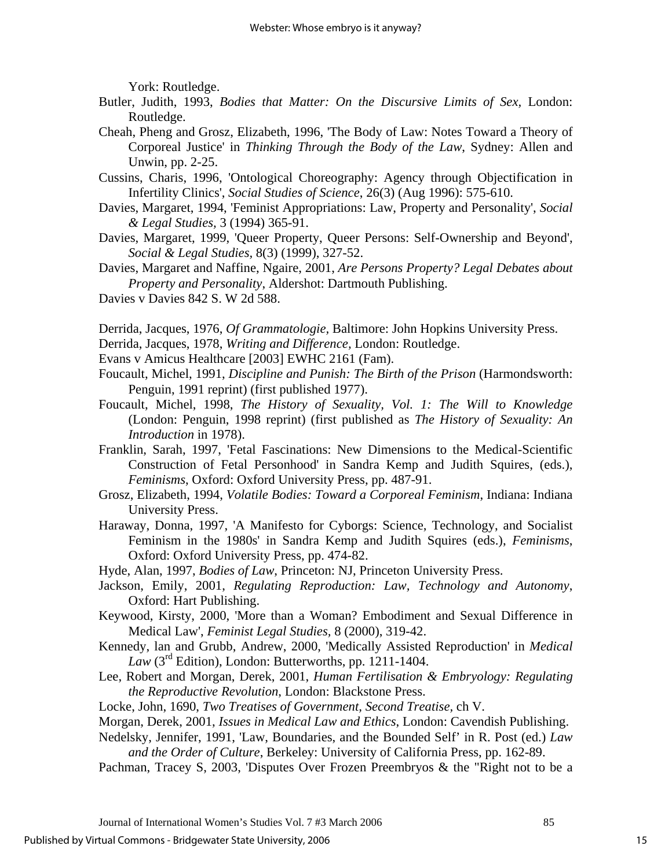York: Routledge.

- Butler, Judith, 1993, *Bodies that Matter: On the Discursive Limits of Sex,* London: Routledge.
- Cheah, Pheng and Grosz, Elizabeth, 1996, 'The Body of Law: Notes Toward a Theory of Corporeal Justice' in *Thinking Through the Body of the Law*, Sydney: Allen and Unwin, pp. 2-25.
- Cussins, Charis, 1996, 'Ontological Choreography: Agency through Objectification in Infertility Clinics', *Social Studies of Science*, 26(3) (Aug 1996): 575-610.
- Davies, Margaret, 1994, 'Feminist Appropriations: Law, Property and Personality', *Social & Legal Studies,* 3 (1994) 365-91.
- Davies, Margaret, 1999, 'Queer Property, Queer Persons: Self-Ownership and Beyond', *Social & Legal Studies,* 8(3) (1999), 327-52.
- Davies, Margaret and Naffine, Ngaire, 2001, *Are Persons Property? Legal Debates about Property and Personality*, Aldershot: Dartmouth Publishing.
- Davies v Davies 842 S. W 2d 588.
- Derrida, Jacques, 1976, *Of Grammatologie,* Baltimore: John Hopkins University Press.
- Derrida, Jacques, 1978, *Writing and Difference,* London: Routledge.
- Evans v Amicus Healthcare [2003] EWHC 2161 (Fam).
- Foucault, Michel, 1991, *Discipline and Punish: The Birth of the Prison* (Harmondsworth: Penguin, 1991 reprint) (first published 1977).
- Foucault, Michel, 1998, *The History of Sexuality, Vol. 1: The Will to Knowledge*  (London: Penguin, 1998 reprint) (first published as *The History of Sexuality: An Introduction* in 1978).
- Franklin, Sarah, 1997, 'Fetal Fascinations: New Dimensions to the Medical-Scientific Construction of Fetal Personhood' in Sandra Kemp and Judith Squires, (eds.), *Feminisms*, Oxford: Oxford University Press, pp. 487-91.
- Grosz, Elizabeth, 1994, *Volatile Bodies: Toward a Corporeal Feminism*, Indiana: Indiana University Press.
- Haraway, Donna, 1997, 'A Manifesto for Cyborgs: Science, Technology, and Socialist Feminism in the 1980s' in Sandra Kemp and Judith Squires (eds.), *Feminisms*, Oxford: Oxford University Press, pp. 474-82.

Hyde, Alan, 1997, *Bodies of Law*, Princeton: NJ, Princeton University Press.

- Jackson, Emily, 2001, *Regulating Reproduction: Law, Technology and Autonomy*, Oxford: Hart Publishing.
- Keywood, Kirsty, 2000, 'More than a Woman? Embodiment and Sexual Difference in Medical Law', *Feminist Legal Studies,* 8 (2000), 319-42.
- Kennedy, lan and Grubb, Andrew, 2000, 'Medically Assisted Reproduction' in *Medical Law* ( $3<sup>rd</sup>$  Edition), London: Butterworths, pp. 1211-1404.
- Lee, Robert and Morgan, Derek, 2001, *Human Fertilisation & Embryology: Regulating the Reproductive Revolution*, London: Blackstone Press.
- Locke, John, 1690, *Two Treatises of Government, Second Treatise,* ch V.
- Morgan, Derek, 2001, *Issues in Medical Law and Ethics*, London: Cavendish Publishing.
- Nedelsky, Jennifer, 1991, 'Law, Boundaries, and the Bounded Self' in R. Post (ed.) *Law and the Order of Culture*, Berkeley: University of California Press, pp. 162-89.
- Pachman, Tracey S, 2003, 'Disputes Over Frozen Preembryos & the "Right not to be a